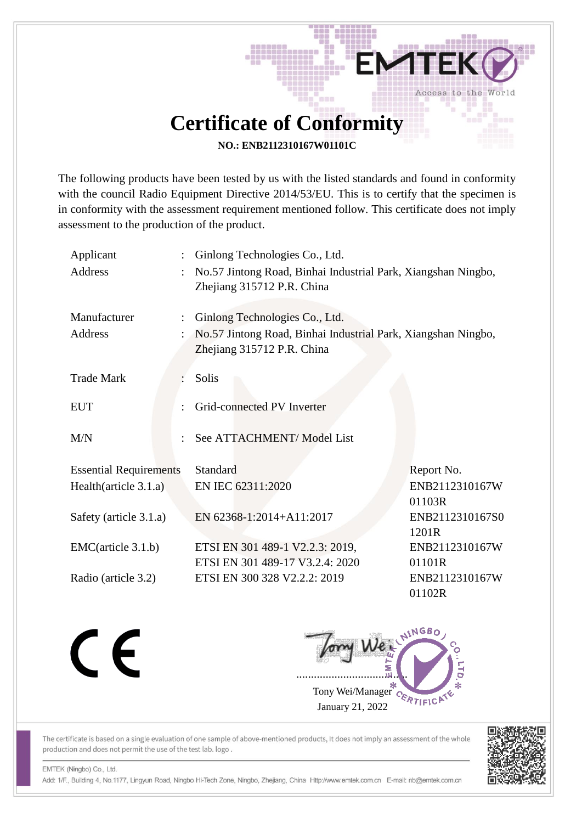## **Certificate of Conformity**

별의

Access to the World

**NO.: ENB2112310167W01101C**

The following products have been tested by us with the listed standards and found in conformity with the council Radio Equipment Directive 2014/53/EU. This is to certify that the specimen is in conformity with the assessment requirement mentioned follow. This certificate does not imply assessment to the production of the product.

| Applicant<br><b>Address</b>    | ÷ | Ginlong Technologies Co., Ltd.<br>No.57 Jintong Road, Binhai Industrial Park, Xiangshan Ningbo,<br>Zhejiang 315712 P.R. China |                                    |  |
|--------------------------------|---|-------------------------------------------------------------------------------------------------------------------------------|------------------------------------|--|
| Manufacturer<br><b>Address</b> |   | Ginlong Technologies Co., Ltd.<br>No.57 Jintong Road, Binhai Industrial Park, Xiangshan Ningbo,<br>Zhejiang 315712 P.R. China |                                    |  |
| <b>Trade Mark</b>              |   | Solis                                                                                                                         |                                    |  |
| <b>EUT</b>                     |   | Grid-connected PV Inverter                                                                                                    |                                    |  |
| M/N                            |   | See ATTACHMENT/ Model List                                                                                                    |                                    |  |
| <b>Essential Requirements</b>  |   | Standard                                                                                                                      | Report No.                         |  |
| Health(article 3.1.a)          |   | EN IEC 62311:2020                                                                                                             | ENB2112310167W<br>01103R           |  |
| Safety (article 3.1.a)         |   | EN 62368-1:2014+A11:2017                                                                                                      | ENB2112310167S0<br>1201R           |  |
| EMC(article 3.1.b)             |   | ETSI EN 301 489-1 V2.2.3: 2019,                                                                                               | ENB2112310167W                     |  |
| Radio (article 3.2)            |   | ETSI EN 301 489-17 V3.2.4: 2020<br>ETSI EN 300 328 V2.2.2: 2019                                                               | 01101R<br>ENB2112310167W<br>01102R |  |

CE

Jony Wei ...................................... Tony Wei/Manager January 21, 2022

The certificate is based on a single evaluation of one sample of above-mentioned products, It does not imply an assessment of the whole production and does not permit the use of the test lab. logo.



EMTEK (Ningbo) Co., Ltd.

Add: 1/F., Building 4, No.1177, Lingyun Road, Ningbo Hi-Tech Zone, Ningbo, Zhejiang, China Http://www.emtek.com.cn E-mail: nb@emtek.com.cn